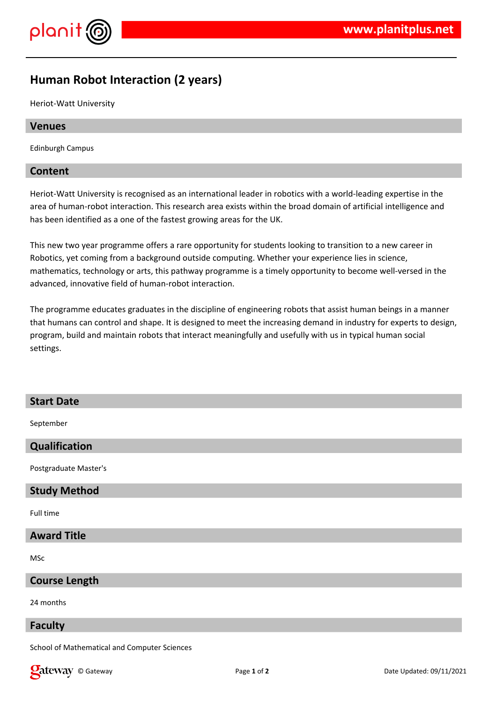

# **Human Robot Interaction (2 years)**

Heriot-Watt University

## **Venues**

Edinburgh Campus

# **Content**

Heriot-Watt University is recognised as an international leader in robotics with a world-leading expertise in the area of human-robot interaction. This research area exists within the broad domain of artificial intelligence and has been identified as a one of the fastest growing areas for the UK.

This new two year programme offers a rare opportunity for students looking to transition to a new career in Robotics, yet coming from a background outside computing. Whether your experience lies in science, mathematics, technology or arts, this pathway programme is a timely opportunity to become well-versed in the advanced, innovative field of human-robot interaction.

The programme educates graduates in the discipline of engineering robots that assist human beings in a manner that humans can control and shape. It is designed to meet the increasing demand in industry for experts to design, program, build and maintain robots that interact meaningfully and usefully with us in typical human social settings.

#### **Start Date**

September

# **Qualification**

Postgraduate Master's

#### **Study Method**

Full time

# **Award Title**

MSc

#### **Course Length**

24 months

#### **Faculty**

School of Mathematical and Computer Sciences